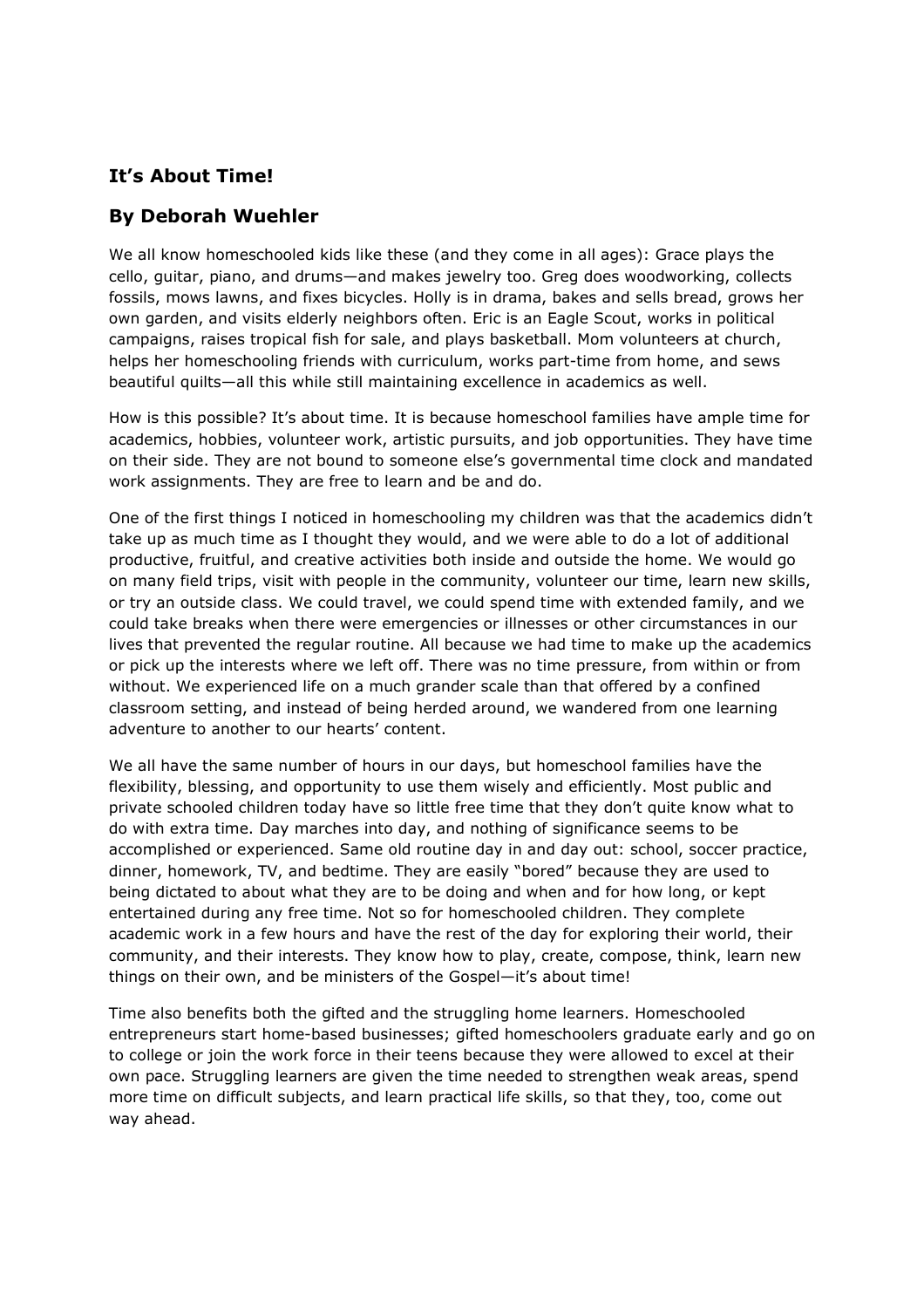# It's About Time!

## By Deborah Wuehler

We all know homeschooled kids like these (and they come in all ages): Grace plays the cello, guitar, piano, and drums—and makes jewelry too. Greg does woodworking, collects fossils, mows lawns, and fixes bicycles. Holly is in drama, bakes and sells bread, grows her own garden, and visits elderly neighbors often. Eric is an Eagle Scout, works in political campaigns, raises tropical fish for sale, and plays basketball. Mom volunteers at church, helps her homeschooling friends with curriculum, works part-time from home, and sews beautiful quilts—all this while still maintaining excellence in academics as well.

How is this possible? It's about time. It is because homeschool families have ample time for academics, hobbies, volunteer work, artistic pursuits, and job opportunities. They have time on their side. They are not bound to someone else's governmental time clock and mandated work assignments. They are free to learn and be and do.

One of the first things I noticed in homeschooling my children was that the academics didn't take up as much time as I thought they would, and we were able to do a lot of additional productive, fruitful, and creative activities both inside and outside the home. We would go on many field trips, visit with people in the community, volunteer our time, learn new skills, or try an outside class. We could travel, we could spend time with extended family, and we could take breaks when there were emergencies or illnesses or other circumstances in our lives that prevented the regular routine. All because we had time to make up the academics or pick up the interests where we left off. There was no time pressure, from within or from without. We experienced life on a much grander scale than that offered by a confined classroom setting, and instead of being herded around, we wandered from one learning adventure to another to our hearts' content.

We all have the same number of hours in our days, but homeschool families have the flexibility, blessing, and opportunity to use them wisely and efficiently. Most public and private schooled children today have so little free time that they don't quite know what to do with extra time. Day marches into day, and nothing of significance seems to be accomplished or experienced. Same old routine day in and day out: school, soccer practice, dinner, homework, TV, and bedtime. They are easily "bored" because they are used to being dictated to about what they are to be doing and when and for how long, or kept entertained during any free time. Not so for homeschooled children. They complete academic work in a few hours and have the rest of the day for exploring their world, their community, and their interests. They know how to play, create, compose, think, learn new things on their own, and be ministers of the Gospel—it's about time!

Time also benefits both the gifted and the struggling home learners. Homeschooled entrepreneurs start home-based businesses; gifted homeschoolers graduate early and go on to college or join the work force in their teens because they were allowed to excel at their own pace. Struggling learners are given the time needed to strengthen weak areas, spend more time on difficult subjects, and learn practical life skills, so that they, too, come out way ahead.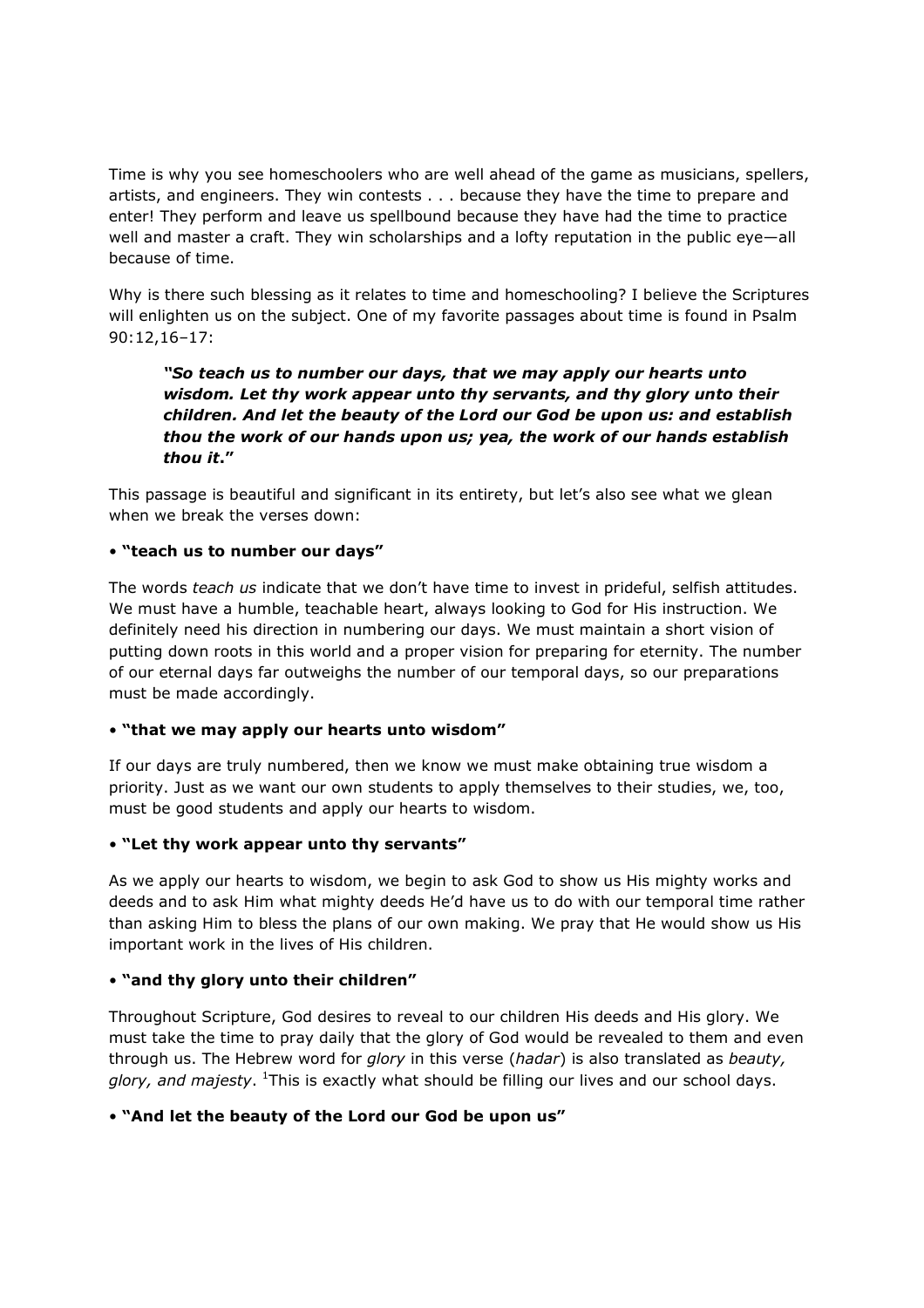Time is why you see homeschoolers who are well ahead of the game as musicians, spellers, artists, and engineers. They win contests . . . because they have the time to prepare and enter! They perform and leave us spellbound because they have had the time to practice well and master a craft. They win scholarships and a lofty reputation in the public eye—all because of time.

Why is there such blessing as it relates to time and homeschooling? I believe the Scriptures will enlighten us on the subject. One of my favorite passages about time is found in Psalm 90:12,16–17:

 "So teach us to number our days, that we may apply our hearts unto wisdom. Let thy work appear unto thy servants, and thy glory unto their children. And let the beauty of the Lord our God be upon us: and establish thou the work of our hands upon us; yea, the work of our hands establish thou it."

This passage is beautiful and significant in its entirety, but let's also see what we glean when we break the verses down:

### • "teach us to number our days"

The words teach us indicate that we don't have time to invest in prideful, selfish attitudes. We must have a humble, teachable heart, always looking to God for His instruction. We definitely need his direction in numbering our days. We must maintain a short vision of putting down roots in this world and a proper vision for preparing for eternity. The number of our eternal days far outweighs the number of our temporal days, so our preparations must be made accordingly.

#### • "that we may apply our hearts unto wisdom"

If our days are truly numbered, then we know we must make obtaining true wisdom a priority. Just as we want our own students to apply themselves to their studies, we, too, must be good students and apply our hearts to wisdom.

#### • "Let thy work appear unto thy servants"

As we apply our hearts to wisdom, we begin to ask God to show us His mighty works and deeds and to ask Him what mighty deeds He'd have us to do with our temporal time rather than asking Him to bless the plans of our own making. We pray that He would show us His important work in the lives of His children.

#### • "and thy glory unto their children"

Throughout Scripture, God desires to reveal to our children His deeds and His glory. We must take the time to pray daily that the glory of God would be revealed to them and even through us. The Hebrew word for glory in this verse (hadar) is also translated as beauty, glory, and majesty. <sup>1</sup>This is exactly what should be filling our lives and our school days.

#### • "And let the beauty of the Lord our God be upon us"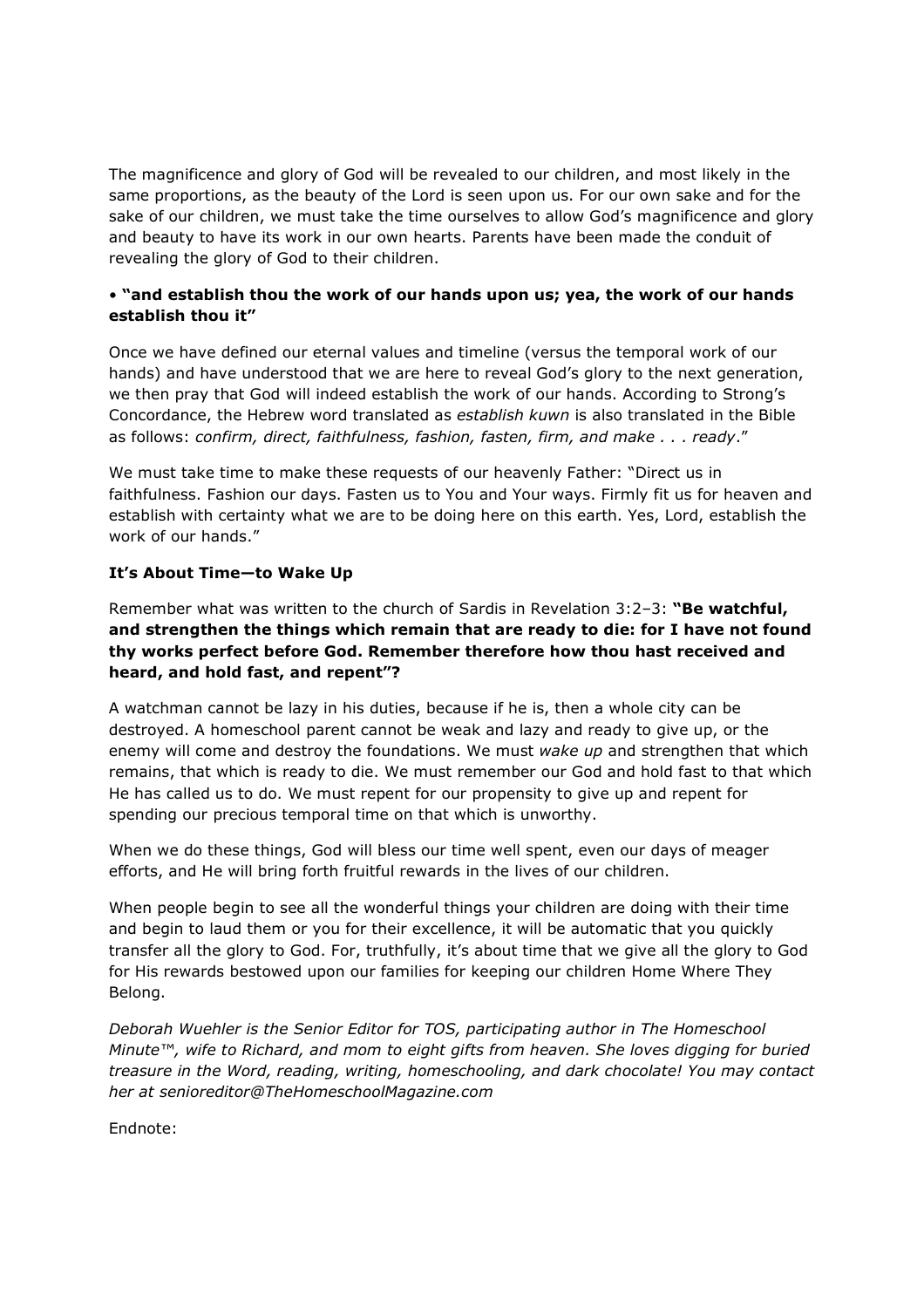The magnificence and glory of God will be revealed to our children, and most likely in the same proportions, as the beauty of the Lord is seen upon us. For our own sake and for the sake of our children, we must take the time ourselves to allow God's magnificence and glory and beauty to have its work in our own hearts. Parents have been made the conduit of revealing the glory of God to their children.

## • "and establish thou the work of our hands upon us; yea, the work of our hands establish thou it"

Once we have defined our eternal values and timeline (versus the temporal work of our hands) and have understood that we are here to reveal God's glory to the next generation, we then pray that God will indeed establish the work of our hands. According to Strong's Concordance, the Hebrew word translated as establish kuwn is also translated in the Bible as follows: confirm, direct, faithfulness, fashion, fasten, firm, and make . . . ready."

We must take time to make these requests of our heavenly Father: "Direct us in faithfulness. Fashion our days. Fasten us to You and Your ways. Firmly fit us for heaven and establish with certainty what we are to be doing here on this earth. Yes, Lord, establish the work of our hands."

## It's About Time—to Wake Up

Remember what was written to the church of Sardis in Revelation 3:2-3: "Be watchful, and strengthen the things which remain that are ready to die: for I have not found thy works perfect before God. Remember therefore how thou hast received and heard, and hold fast, and repent"?

A watchman cannot be lazy in his duties, because if he is, then a whole city can be destroyed. A homeschool parent cannot be weak and lazy and ready to give up, or the enemy will come and destroy the foundations. We must wake up and strengthen that which remains, that which is ready to die. We must remember our God and hold fast to that which He has called us to do. We must repent for our propensity to give up and repent for spending our precious temporal time on that which is unworthy.

When we do these things, God will bless our time well spent, even our days of meager efforts, and He will bring forth fruitful rewards in the lives of our children.

When people begin to see all the wonderful things your children are doing with their time and begin to laud them or you for their excellence, it will be automatic that you quickly transfer all the glory to God. For, truthfully, it's about time that we give all the glory to God for His rewards bestowed upon our families for keeping our children Home Where They Belong.

Deborah Wuehler is the Senior Editor for TOS, participating author in The Homeschool Minute™, wife to Richard, and mom to eight gifts from heaven. She loves digging for buried treasure in the Word, reading, writing, homeschooling, and dark chocolate! You may contact her at senioreditor@TheHomeschoolMagazine.com

Endnote: